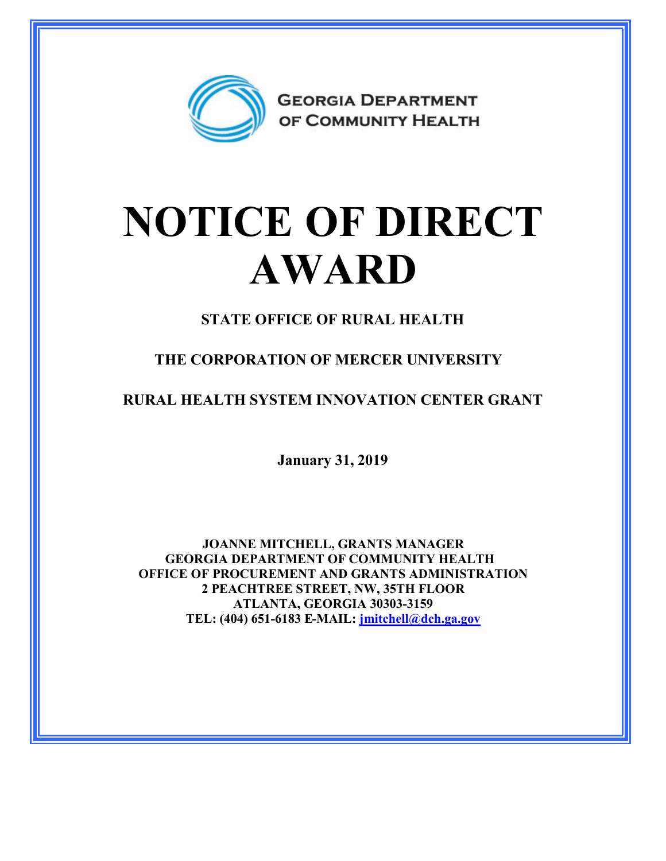

## **NOTICE OF DIRECT AWARD**

**STATE OFFICE OF RURAL HEALTH**

**THE CORPORATION OF MERCER UNIVERSITY**

**RURAL HEALTH SYSTEM INNOVATION CENTER GRANT**

**January 31, 2019**

**JOANNE MITCHELL, GRANTS MANAGER GEORGIA DEPARTMENT OF COMMUNITY HEALTH OFFICE OF PROCUREMENT AND GRANTS ADMINISTRATION 2 PEACHTREE STREET, NW, 35TH FLOOR ATLANTA, GEORGIA 30303-3159 TEL: (404) 651-6183 E-MAIL: [jmitchell@dch.ga.gov](mailto:jmitchell@dch.ga.gov)**